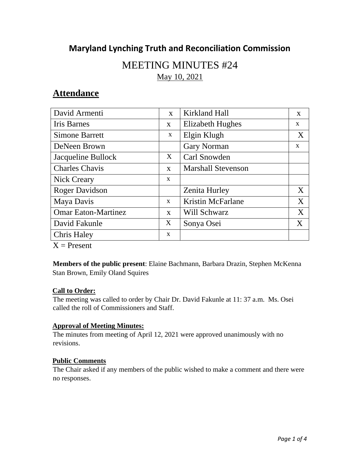# **Maryland Lynching Truth and Reconciliation Commission**

# MEETING MINUTES #24<br>May 10, 2021

# **Attendance**

| David Armenti              | $\mathbf{x}$ | Kirkland Hall             | X            |
|----------------------------|--------------|---------------------------|--------------|
| <b>Iris Barnes</b>         | $\mathbf{X}$ | Elizabeth Hughes          | $\mathbf{x}$ |
| <b>Simone Barrett</b>      | X            | Elgin Klugh               | X            |
| DeNeen Brown               |              | <b>Gary Norman</b>        | X            |
| Jacqueline Bullock         | X            | Carl Snowden              |              |
| <b>Charles Chavis</b>      | $\mathbf{X}$ | <b>Marshall Stevenson</b> |              |
| <b>Nick Creary</b>         | X            |                           |              |
| <b>Roger Davidson</b>      |              | Zenita Hurley             | X            |
| Maya Davis                 | X            | <b>Kristin McFarlane</b>  | X            |
| <b>Omar Eaton-Martinez</b> | $\mathbf{X}$ | Will Schwarz              | X            |
| David Fakunle              | X            | Sonya Osei                | X            |
| <b>Chris Haley</b>         | X            |                           |              |

 $X =$  Present

**Members of the public present**: Elaine Bachmann, Barbara Drazin, Stephen McKenna Stan Brown, Emily Oland Squires

# **Call to Order:**

The meeting was called to order by Chair Dr. David Fakunle at 11: 37 a.m. Ms. Osei called the roll of Commissioners and Staff.

# **Approval of Meeting Minutes:**

The minutes from meeting of April 12, 2021 were approved unanimously with no revisions.

# **Public Comments**

The Chair asked if any members of the public wished to make a comment and there were no responses.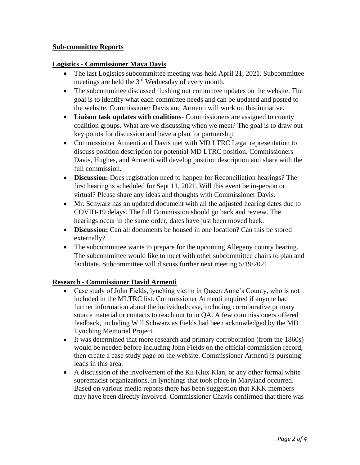#### **Sub-committee Reports**

#### **Logistics - Commissioner Maya Davis**

- meetings are held the  $3<sup>rd</sup>$  Wednesday of every month. The last Logistics subcommittee meeting was held April 21, 2021. Subcommittee
- the website. Commissioner Davis and Armenti will work on this initiative. The subcommittee discussed flushing out committee updates on the website. The goal is to identify what each committee needs and can be updated and posted to
- **Liaison task updates with coalitions** Commissioners are assigned to county coalition groups. What are we discussing when we meet? The goal is to draw out key points for discussion and have a plan for partnership
- Commissioner Armenti and Davis met with MD LTRC Legal representation to discuss position description for potential MD LTRC position. Commissioners Davis, Hughes, and Armenti will develop position description and share with the full commission.
- **Discussion:** Does registration need to happen for Reconciliation hearings? The first hearing is scheduled for Sept 11, 2021. Will this event be in-person or virtual? Please share any ideas and thoughts with Commissioner Davis.
- Mr. Schwarz has an updated document with all the adjusted hearing dates due to COVID-19 delays. The full Commission should go back and review. The hearings occur in the same order; dates have just been moved back.
- **Discussion:** Can all documents be housed in one location? Can this be stored externally?
- The subcommittee wants to prepare for the upcoming Allegany county hearing. The subcommittee would like to meet with other subcommittee chairs to plan and facilitate. Subcommittee will discuss further next meeting 5/19/2021

# **Research - Commissioner David Armenti**

- Case study of John Fields, lynching victim in Queen Anne's County, who is not included in the MLTRC list. Commissioner Armenti inquired if anyone had further information about the individual/case, including corroborative primary source material or contacts to reach out to in QA. A few commissioners offered feedback, including Will Schwarz as Fields had been acknowledged by the MD Lynching Memorial Project.
- It was determined that more research and primary corroboration (from the 1860s) would be needed before including John Fields on the official commission record, then create a case study page on the website. Commissioner Armenti is pursuing leads in this area.
- A discussion of the involvement of the Ku Klux Klan, or any other formal white supremacist organizations, in lynchings that took place in Maryland occurred. Based on various media reports there has been suggestion that KKK members may have been directly involved. Commissioner Chavis confirmed that there was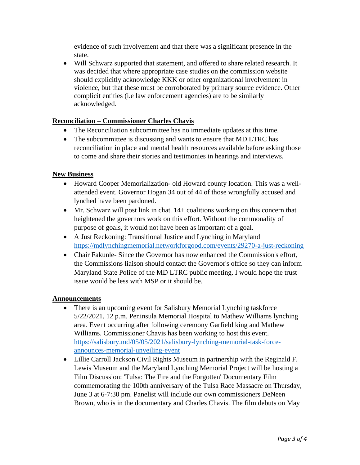evidence of such involvement and that there was a significant presence in the state.

 Will Schwarz supported that statement, and offered to share related research. It was decided that where appropriate case studies on the commission website should explicitly acknowledge KKK or other organizational involvement in violence, but that these must be corroborated by primary source evidence. Other complicit entities (i.e law enforcement agencies) are to be similarly acknowledged.

# **Reconciliation – Commissioner Charles Chavis**

- The Reconciliation subcommittee has no immediate updates at this time.
- The subcommittee is discussing and wants to ensure that MD LTRC has reconciliation in place and mental health resources available before asking those to come and share their stories and testimonies in hearings and interviews.

# **New Business**

- Howard Cooper Memorialization- old Howard county location. This was a wellattended event. Governor Hogan 34 out of 44 of those wrongfully accused and lynched have been pardoned.
- Mr. Schwarz will post link in chat. 14+ coalitions working on this concern that heightened the governors work on this effort. Without the commonality of purpose of goals, it would not have been as important of a goal.
- <https://mdlynchingmemorial.networkforgood.com/events/29270-a-just-reckoning>A Just Reckoning: Transitional Justice and Lynching in Maryland
- Chair Fakunle- Since the Governor has now enhanced the Commission's effort, the Commissions liaison should contact the Governor's office so they can inform Maryland State Police of the MD LTRC public meeting. I would hope the trust issue would be less with MSP or it should be.

# **Announcements**

- area. Event occurring after following ceremony Garfield king and Mathew Williams. Commissioner Chavis has been working to host this event. announces-memorial-unveiling-event • There is an upcoming event for Salisbury Memorial Lynching taskforce 5/22/2021. 12 p.m. Peninsula Memorial Hospital to Mathew Williams lynching [https://salisbury.md/05/05/2021/salisbury-lynching-memorial-task-force-](https://salisbury.md/05/05/2021/salisbury-lynching-memorial-task-force-announces-memorial-unveiling-event)
- Lillie Carroll Jackson Civil Rights Museum in partnership with the Reginald F. Lewis Museum and the Maryland Lynching Memorial Project will be hosting a Film Discussion: 'Tulsa: The Fire and the Forgotten' Documentary Film commemorating the 100th anniversary of the Tulsa Race Massacre on Thursday, June 3 at 6-7:30 pm. Panelist will include our own commissioners DeNeen Brown, who is in the documentary and Charles Chavis. The film debuts on May